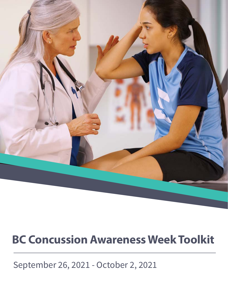

# **BC Concussion Awareness Week Toolkit**

September 26, 2021 - October 2, 2021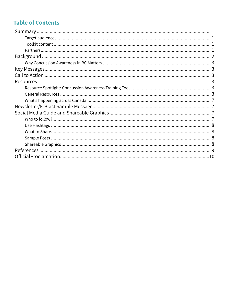## **Table of Contents**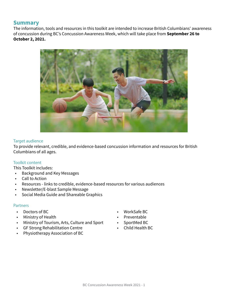## <span id="page-2-0"></span>**Summary**

The information, tools and resources in this toolkit are intended to increase British Columbians' awareness of concussion during BC's Concussion Awareness Week, which will take place from **September 26 to October 2, 2021.** 



#### Target audience

To provide relevant, credible, and evidence-based concussion information and resources for British Columbians of all ages.

#### Toolkit content

This Toolkit includes:

- Background and Key Messages
- Call to Action
- Resources links to credible, evidence-based resources for various audiences
- Newsletter/E-blast Sample Message
- Social Media Guide and Shareable Graphics

#### **Partners**

- Doctors of BC
- Ministry of Health
- Ministry of Tourism, Arts, Culture and Sport
- GF Strong Rehabilitation Centre
- Physiotherapy Association of BC
- WorkSafe BC
- Preventable
- SportMed BC
- Child Health BC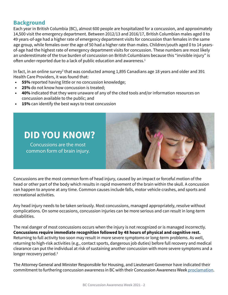## <span id="page-3-0"></span>**Background**

Each year in British Columbia (BC), almost 600 people are hospitalized for a concussion, and approximately 14,500 visit the emergency department. Between 2012/13 and 2016/17, British Columbian males aged 0 to 49 years-of-age had a higher rate of emergency department visits for concussion than females in the same age group, while females over the age of 50 had a higher rate than males. Children/youth aged 0 to 14 yearsof-age had the highest rate of emergency department visits for concussion. These numbers are most likely an underestimate of the true burden of concussion on British Columbians because this "invisible injury" is often under-reported due to a lack of public education and awareness.<sup>1</sup>

In fact, in an online survey $^2$  that was conducted among 1,895 Canadians age 18 years and older and 391  $\,$ Health Care Providers, it was found that:

- **• 55%** reported having little or no concussion knowledge;
- **• 25%** do not know how concussion is treated;
- **• 40%** indicated that they were unaware of any of the cited tools and/or information resources on concussion available to the public; and
- **• 15%** can identify the best ways to treat concussion



Concussions are the most common form of brain injury.



Concussions are the most common form of head injury, caused by an impact or forceful motion of the head or other part of the body which results in rapid movement of the brain within the skull. A concussion can happen to anyone at any time. Common causes include falls, motor vehicle crashes, and sports and recreational activities.

Any head injury needs to be taken seriously. Most concussions, managed appropriately, resolve without complications. On some occasions, concussion injuries can be more serious and can result in long-term disabilities.

The real danger of most concussions occurs when the injury is not recognized or is managed incorrectly. **Concussions require immediate recognition followed by 48 hours of physical and cognitive rest.** Returning to full activity too soon may result in more severe symptoms or long-term problems. As well, returning to high-risk activities (e.g., contact sports, dangerous job duties) before full recovery and medical clearance can put the individual at risk of sustaining another concussion with more severe symptoms and a longer recovery period.<sup>3</sup>

The Attorney General and Minister Responsible for Housing, and Lieutenant Governor have indicated their commitment to furthering concussion awareness in BC with their Concussion Awareness Week [proclamation](https://www.bclaws.gov.bc.ca/civix/document/id/proclamations/proclamations/ConcussionAwareWk2021).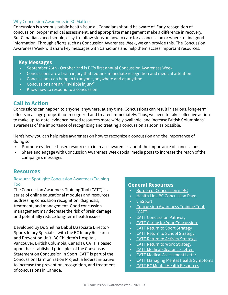#### <span id="page-4-0"></span>Why Concussion Awareness in BC Matters

Concussion is a serious public health issue all Canadians should be aware of. Early recognition of concussion, proper medical assessment, and appropriate management make a difference in recovery. But Canadians need simple, easy-to-follow steps on how to care for a concussion or where to find good information. Through efforts such as Concussion Awareness Week, we can provide this. The Concussion Awareness Week will share key messages with Canadians and help them access important resources.

#### **Key Messages**

- September 26th October 2nd is BC's first annual Concussion Awareness Week
- Concussions are a brain injury that require immediate recognition and medical attention
- Concussions can happen to anyone, anywhere and at anytime
- Concussions are an "invisible injury"
- Know how to respond to a concussion

## **Call to Action**

Concussions can happen to anyone, anywhere, at any time. Concussions can result in serious, long-term effects in all age groups if not recognized and treated immediately. Thus, we need to take collective action to make up-to-date, evidence-based resources more widely available, and increase British Columbians' awareness of the importance of recognizing and treating a concussion as soon as possible.

Here's how you can help raise awareness on how to recognize a concussion and the importance of doing so:

- Promote evidence-based resources to increase awareness about the importance of concussions
- Share and engage with Concussion Awareness Week social media posts to increase the reach of the campaign's messages

### **Resources**

#### Resource Spotlight: Concussion Awareness Training Tool

The Concussion Awareness Training Tool (CATT) is a series of online educational modules and resources addressing concussion recognition, diagnosis, treatment, and management. Good concussion management may decrease the risk of brain damage and potentially reduce long-term health issues.

Developed by Dr. Shelina Babul (Associate Director/ Sports Injury Specialist with the BC Injury Research and Prevention Unit, BC Children's Hospital, Vancouver, British Columbia, Canada), CATT is based upon the established principles of the Consensus Statement on Concussion in Sport. CATT is part of the Concussion Harmonization Project, a federal initiative to increase the prevention, recognition, and treatment of concussions in Canada.

## **General Resources**

- [Burden of Concussion in BC](https://cattonline.com/wp-content/uploads/2020/07/Burden-of-Concussion-in-BC-BCIRPU-2020.pdf)
- [Health Link BC Concussion Page](https://www.healthlinkbc.ca/health-topics/tp23364spec)
- [viaSport](https://www.viasport.ca/quality-sport/safe-sport/injury)
- [Concussion Awareness Training Tool](http://cattonline.com)  [\(CATT\)](http://cattonline.com)
- [CATT Concussion Pathway](https://cattonline.com/catt-concussion-pathway/)
- CATT [Caring for Your Concussion](https://cattonline.com/wp-content/uploads/2019/10/Parachute-Caring-for-Your-Concussion-2018.pdf)
- CATT Return to Sport Strategy
- CATT Return to School Strategy
- CATT [Return to Activity Strategy](https://cattonline.com/wp-content/uploads/2018/06/CATT-Return-to-Activity-V2-June-2019.pdf)
- CATT [Return to Work Strategy](https://cattonline.com/wp-content/uploads/2019/05/CATT-Return-to-Work-2019-V1-June-2019.pdf)
- CATT [Medical Clearance Letter](https://cattonline.com/wp-content/uploads/2019/05/CATT-Medical-Clearance-Letter-V1-May-2019.pdf)
- CATT [Medical Assessment Letter](https://cattonline.com/wp-content/uploads/2019/05/CATT-Medical-Assessment-Letter-V1-May-2019.pdf)
- CATT [Managing Mental Health Symptoms](https://cattonline.com/wp-content/uploads/2019/06/CATT-Managing-Mental-Health-Symptoms-V2-Sep-2020.pdf)
- CATT [BC Mental Health Resources](https://cattonline.com/wp-content/uploads/2020/09/CATT-BC-Mental-Health-Resources-V1-Sep-2020.pdf)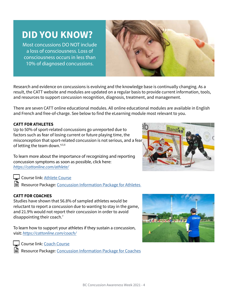#### BC Concussion Awareness Week 2021 - 4

## **DID YOU KNOW?**

Most concussions DO NOT include a loss of consciousness. Loss of consciousness occurs in less than 10% of diagnosed concussions.

Research and evidence on concussions is evolving and the knowledge base is continually changing. As a result, the CATT website and modules are updated on a regular basis to provide current information, tools, and resources to support concussion recognition, diagnosis, treatment, and management.

There are seven CATT online educational modules. All online educational modules are available in English and French and free-of-charge. See below to find the eLearning module most relevant to you.

#### **CATT FOR ATHLETES**

Up to 50% of sport-related concussions go unreported due to factors such as fear of losing current or future playing time, the misconception that sport-related concussion is not serious, and a fear of letting the team down.<sup>4,5,6</sup>

To learn more about the importance of recognizing and reporting concussion symptoms as soon as possible, click here: <https://cattonline.com/athlete/>

Course link: [Athlete Course](https://cattonline.com/athlete-course/) 

Resource Package: Concussion Information Package for Athletes

#### **CATT FOR COACHES**

Studies have shown that 56.8% of sampled athletes would be reluctant to report a concussion due to wanting to stay in the game, and 21.9% would not report their concussion in order to avoid disappointing their coach. $<sup>7</sup>$ </sup>

To learn how to support your athletes if they sustain a concussion, visit: <https://cattonline.com/coach/>

Course link: [Coach Course](https://cattonline.com/coach-course/)

Resource Package: [Concussion Information Package for Coaches](https://cattonline.com/wp-content/uploads/2021/04/Concussion-Resources-for-Coaches-CATT-V5-August-2021-1.pdf)





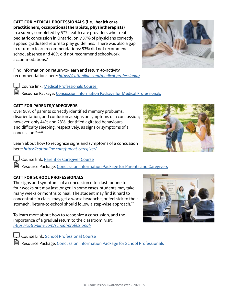#### **CATT FOR MEDICAL PROFESSIONALS (i.e., health care practitioners, occupational therapists, physiotherapists)**

In a survey completed by 577 health care providers who treat pediatric concussion in Ontario, only 37% of physicians correctly applied graduated return to play guidelines. There was also a gap in return to learn recommendations: 53% did not recommend school absence and 40% did not recommend schoolwork accommodations.8

Find information on return-to-learn and return-to-activity recommendations here: *<https://cattonline.com/medical-professional/>*

Course link: [Medical Professionals Course](https://cattonline.com/medical-professional-course/)  Resource Package: [Concussion Information Package for Medical Professionals](https://cattonline.com/wp-content/uploads/2021/04/Concussion-Resources-for-Medical-Professionals-CATT-V5-August-2021-1.pdf)

### **CATT FOR PARENTS/CAREGIVERS**

Over 90% of parents correctly identified memory problems, disorientation, and confusion as signs or symptoms of a concussion; however, only 44% and 28% identified agitated behaviours and difficulty sleeping, respectively, as signs or symptoms of a concussion.9,10,11

Learn about how to recognize signs and symptoms of a concussion here: <https://cattonline.com/parent-caregiver/>

Course link: [Parent or Caregiver Course](https://cattonline.com/parent-caregiver-course/)

Resource Package: [Concussion Information Package for Parents and Caregivers](https://cattonline.com/wp-content/uploads/2021/05/Concussion-Resources-for-Parents-and-Caregivers-CATT-V5-August-2021-1-1.pdf)

## **CATT FOR SCHOOL PROFESSIONALS**

The signs and symptoms of a concussion often last for one to four weeks but may last longer. In some cases, students may take many weeks or months to heal. The student may find it hard to concentrate in class, may get a worse headache, or feel sick to their stomach. Return-to-school should follow a step-wise approach.<sup>12</sup>

To learn more about how to recognize a concussion, and the importance of a gradual return to the classroom, visit: <https://cattonline.com/school-professional/>

Course Link: [School Professional Course](https://cattonline.com/school-professional-course/)

Resource Package: [Concussion Information Package for School Professionals](https://cattonline.com/wp-content/uploads/2021/04/Concussion-Resources-for-School-Professionals-CATT-V5-August-2021-1.pdf)







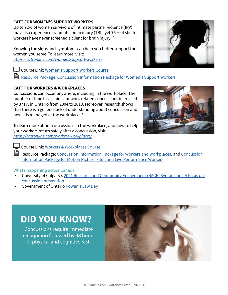#### <span id="page-7-0"></span>**CATT FOR WOMEN'S SUPPORT WORKERS**

Up to 92% of women survivors of intimate partner violence (IPV) may also experience traumatic brain injury (TBI), yet 75% of shelter workers have never screened a client for brain injury.<sup>13</sup>

Knowing the signs and symptoms can help you better support the women you serve. To learn more, visit: <https://cattonline.com/womens-support-workers/>

Course Link: [Women's Support Workers Course](https://cattonline.com/womens-support-worker-course/)

■ Resource Package: Concussion Information Package for Women's Support Workers

### **CATT FOR WORKERS & WORKPLACES**

Concussions can occur anywhere, including in the workplace. The number of time loss claims for work-related concussions increased by 371% in Ontario from 2004 to 2013. Moreover, research shows that there is a general lack of understanding about concussion and how it is managed at the workplace.<sup>14</sup>

To learn more about concussions in the workplace, and how to help your workers return safely after a concussion, visit: <https://cattonline.com/workers-workplaces/>



Course Link: [Workers & Workplaces Course](https://cattonline.com/workers-workplaces-course/)

Resource Package: [Concussion Information Package for Workers and Workplaces](https://cattonline.com/wp-content/uploads/2021/04/Concussion-Resources-for-Workers-and-Workplaces-CATT-V4-August-2021.pdf), and Concussion [Information Package for Motion Picture, Film, and Live Performance Workers](https://cattonline.com/wp-content/uploads/2021/06/Live-Perf.-and-Motion-Pictures-August-23-1.pdf)

#### What's happening across Canada

- University of Calgary's [2021 Research and Community Engagement \(RACE\) Symposium: A focus on](https://www.ucalgary.ca/sport-injury-prevention-research-centre/2021-RACE-Symposium) [concussion prevention](https://www.ucalgary.ca/sport-injury-prevention-research-centre/2021-RACE-Symposium)
- Government of Ontario [Rowan's Law Day](https://www.ontario.ca/page/rowans-law-day)

## **DID YOU KNOW?**

Concussions require immediate recognition followed by 48 hours of physical and cognitive rest.



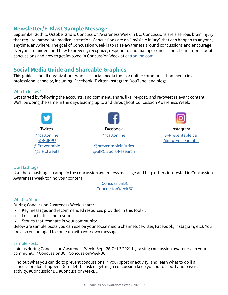## <span id="page-8-0"></span>**Newsletter/E-Blast Sample Message**

September 26th to October 2nd is Concussion Awareness Week in BC. Concussions are a serious brain injury that require immediate medical attention. Concussions are an "invisible injury" that can happen to anyone, anytime, anywhere. The goal of Concussion Week is to raise awareness around concussions and encourage everyone to understand how to prevent, recognize, respond to and manage concussions. Learn more about concussions and how to get involved in Concussion Week at [cattonline.com](http://cattonline.com)

## **Social Media Guide and Shareable Graphics**

This guide is for all organizations who use social media tools or online communication media in a professional capacity, including: Facebook, Twitter, Instagram, YouTube, and blogs.

#### Who to follow?

Get started by following the accounts, and comment, share, like, re-post, and re-tweet relevant content. We'll be doing the same in the days leading up to and throughout Concussion Awareness Week.



#### Use Hashtags

Use these hashtags to amplify the concussion awareness message and help others interested in Concussion Awareness Week to find your content:

> #ConcussionBC #ConcussionWeekBC

#### What to Share

During Concussion Awareness Week, share:

- Key messages and recommended resources provided in this toolkit
- Local activities and resources
- Stories that resonate in your community

Below are sample posts you can use on your social media channels (Twitter, Facebook, Instagram, etc). You are also encouraged to come up with your own messages.

#### Sample Posts

Join us during Concussion Awareness Week, Sept 26-Oct 2 2021 by raising concussion awareness in your community. #ConcussionBC #ConcussionWeekBC

Find out what you can do to prevent concussions in your sport or activity, and learn what to do if a concussion does happen. Don't let the risk of getting a concussion keep you out of sport and physical activity. #ConcussionBC #ConcussionWeekBC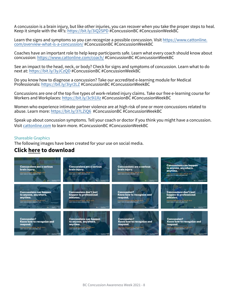<span id="page-9-0"></span>A concussion is a brain injury, but like other injuries, you can recover when you take the proper steps to heal. Keep it simple with the 4R's: <https://bit.ly/3iQ2SPD>#ConcussionBC #ConcussionWeekBC

Learn the signs and symptoms so you can recognize a possible concussion. Visit [https://www.cattonline.](https://www.cattonline.com/overview-what-is-a-concussion/) [com/overview-what-is-a-concussion/](https://www.cattonline.com/overview-what-is-a-concussion/) #ConcussionBC #ConcussionWeekBC

Coaches have an important role to help keep participants safe. Learn what every coach should know about concussion: <https://www.cattonline.com/coach/> #ConcussionBC #ConcussionWeekBC

See an impact to the head, neck, or body? Check for signs and symptoms of concussion. Learn what to do next at:<https://bit.ly/3yJCzQD>#ConcussionBC #ConcussionWeekBC

Do you know how to diagnose a concussion? Take our accredited e-learning module for Medical Professionals: <https://bit.ly/3iyr2LZ>#ConcussionBC #ConcussionWeekBC

Concussions are one of the top five types of work-related injury claims. Take our free e-learning course for Workers and Workplaces: <https://bit.ly/3c9i1Xz> #ConcussionBC #ConcussionWeekBC

Women who experience intimate partner violence are at high risk of one or more concussions related to abuse. Learn more: <https://bit.ly/37LZiQ6>#ConcussionBC #ConcussionWeekBC

Speak up about concussion symptoms. Tell your coach or doctor if you think you might have a concussion. Visit [cattonline.com](http://cattonline.com) to learn more. #ConcussionBC #ConcussionWeekBC

#### Shareable Graphics

The following images have been created for your use on social media.

## **[Click here to download](https://cattonline.com/caw-graphics/?preview=true)**

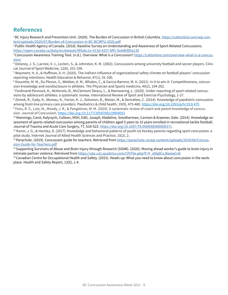## **References**

<sup>1</sup>BC Injury Research and Prevention Unit. (2020). The Burden of Concussion in British Columbia. [https://cattonline.com/wp-con](https://cattonline.com/wp-content/uploads/2020/07/Burden-of-Concussion-in-BC-BCIRPU-2020.pdf)[tent/uploads/2020/07/Burden-of-Concussion-in-BC-BCIRPU-2020.pdf](https://cattonline.com/wp-content/uploads/2020/07/Burden-of-Concussion-in-BC-BCIRPU-2020.pdf)

2 Public Health Agency of Canada. (2018). Baseline Survey on Understanding and Awareness of Sport-Related Concussions. https://open.canada.ca/data/en/dataset/9f4abc1e-913d-4257-8ff1-9a4dbf89a139

<sup>3</sup> Concussion Awareness Training Tool. (n.d.). Overview: What is a Concussion? [https://cattonline.com/overview-what-is-a-concus](https://cattonline.com/overview-what-is-a-concussion/)[sion/](https://cattonline.com/overview-what-is-a-concussion/)

<sup>4</sup> Delaney, J. S., Lacroix, V. J., Leclerc, S., & Johnston, K. M. (2002). Concussions among university football and soccer players. Clinical Journal of Sport Medicine, 12(6), 331-338.

<sup>5</sup> Wayment, H. A., & Huffman, A. H. (2020). The indirect influence of organizational safety climate on football players' concussion reporting intentions. Health Education & Behavior, 47(1), 91-100.

<sup>6</sup> Doucette, M. M., Du Plessis, S., Webber, A. M., Whalen, C., & Garcia-Barrera, M. A. (2021). In it to win it: Competitiveness, concussion knowledge and nondisclosure in athletes. The Physician and Sports medicine, 49(2), 194-202.

<sup>7</sup> Ferdinand Pennock, K., McKenzie, B., McClemont Steacy, L., & Mainwaring, L. (2020). Under-reporting of sport-related concussions by adolescent athletes: a systematic review. International Review of Sport and Exercise Psychology, 1-27.

<sup>8</sup> Zemek, R., Eady, K., Moreau, K., Farion, K. J., Solomon, B., Weiser, M., & Dematteo, C. (2014). Knowledge of paediatric concussion among front-line primary care providers. Paediatrics & child health, 19(9), 475-480. <https://doi.org/10.1093/pch/19.9.475>

<sup>9</sup> Feiss, R. S., Lutz, M., Moody, J. R., & Pangelinan, M. M. (2020). A systematic review of coach and parent knowledge of concussion. Journal of Concussion. <https://doi.org/10.1177/2059700219900053>

<sup>10</sup> Mannings, Carol, Kalynych, Colleen, MSH, EdD, Joseph, Madeline, Smotherman, Carmen & Kraemer, Dale. (2014). Knowledge assessment of sports-related concussion among parents of children aged 5 years to 15 years enrolled in recreational tackle football. Journal of Trauma and Acute Care Surgery, 77, S18-S22. <https://doi.org/10.1097/TA.0000000000000371>

<sup>11</sup> Konin, J. G., & Horsley, D. (2017). Knowledge and behavioral patterns of youth ice hockey parents regarding sport concussion: a pilot study. Internet Journal of Allied Health Sciences and Practice, 15(2), 2.

<sup>12</sup> Parachute. (2019). Concussion guide for teachers. Retrieved from [https://parachute.ca/wp-content/uploads/2019/06/Concus](https://parachute.ca/wp-content/uploads/2019/06/Concussion-Guide-for-Teachers.pdf)[sion-Guide-for-Teachers.pdf](https://parachute.ca/wp-content/uploads/2019/06/Concussion-Guide-for-Teachers.pdf)

<sup>13</sup> Supporting Survivors of Abuse and Brain Injury through Research (SOAR). (2020). Moving ahead worker's guide to brain injury in intimate partner violence. Retrieved from [https://ubc.ca1.qualtrics.com/CP/File.php?F=F\\_etfq0CxJXoowCnb](https://ubc.ca1.qualtrics.com/CP/File.php?F=F_etfq0CxJXoowCnb)

<sup>14</sup> Canadian Centre for Occupational Health and Safety. (2015). Heads up: What you need to know about concussion in the workplace. Health and Safety Report, 13(5), 1-4.